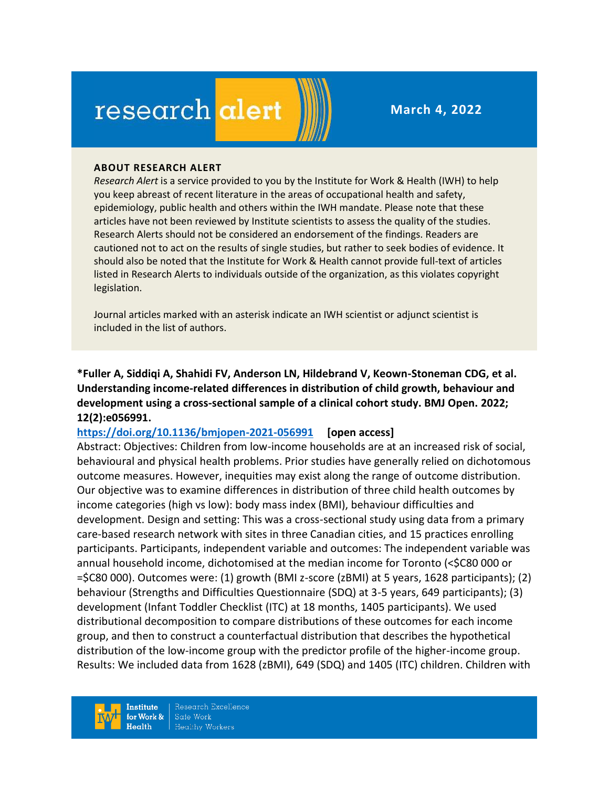# research alert

**March 4, 2022**

#### **ABOUT RESEARCH ALERT**

*Research Alert* is a service provided to you by the Institute for Work & Health (IWH) to help you keep abreast of recent literature in the areas of occupational health and safety, epidemiology, public health and others within the IWH mandate. Please note that these articles have not been reviewed by Institute scientists to assess the quality of the studies. Research Alerts should not be considered an endorsement of the findings. Readers are cautioned not to act on the results of single studies, but rather to seek bodies of evidence. It should also be noted that the Institute for Work & Health cannot provide full-text of articles listed in Research Alerts to individuals outside of the organization, as this violates copyright legislation.

Journal articles marked with an asterisk indicate an IWH scientist or adjunct scientist is included in the list of authors.

**\*Fuller A, Siddiqi A, Shahidi FV, Anderson LN, Hildebrand V, Keown-Stoneman CDG, et al. Understanding income-related differences in distribution of child growth, behaviour and development using a cross-sectional sample of a clinical cohort study. BMJ Open. 2022; 12(2):e056991.**

#### **<https://doi.org/10.1136/bmjopen-2021-056991> [open access]**

Abstract: Objectives: Children from low-income households are at an increased risk of social, behavioural and physical health problems. Prior studies have generally relied on dichotomous outcome measures. However, inequities may exist along the range of outcome distribution. Our objective was to examine differences in distribution of three child health outcomes by income categories (high vs low): body mass index (BMI), behaviour difficulties and development. Design and setting: This was a cross-sectional study using data from a primary care-based research network with sites in three Canadian cities, and 15 practices enrolling participants. Participants, independent variable and outcomes: The independent variable was annual household income, dichotomised at the median income for Toronto (<\$C80 000 or =\$C80 000). Outcomes were: (1) growth (BMI z-score (zBMI) at 5 years, 1628 participants); (2) behaviour (Strengths and Difficulties Questionnaire (SDQ) at 3-5 years, 649 participants); (3) development (Infant Toddler Checklist (ITC) at 18 months, 1405 participants). We used distributional decomposition to compare distributions of these outcomes for each income group, and then to construct a counterfactual distribution that describes the hypothetical distribution of the low-income group with the predictor profile of the higher-income group. Results: We included data from 1628 (zBMI), 649 (SDQ) and 1405 (ITC) children. Children with

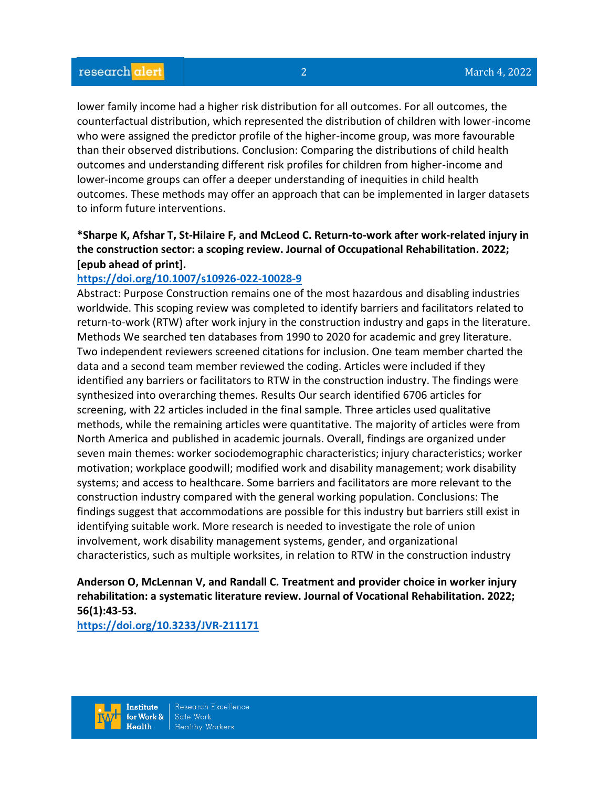lower family income had a higher risk distribution for all outcomes. For all outcomes, the counterfactual distribution, which represented the distribution of children with lower-income who were assigned the predictor profile of the higher-income group, was more favourable than their observed distributions. Conclusion: Comparing the distributions of child health outcomes and understanding different risk profiles for children from higher-income and lower-income groups can offer a deeper understanding of inequities in child health outcomes. These methods may offer an approach that can be implemented in larger datasets to inform future interventions.

# **\*Sharpe K, Afshar T, St-Hilaire F, and McLeod C. Return-to-work after work-related injury in the construction sector: a scoping review. Journal of Occupational Rehabilitation. 2022; [epub ahead of print].**

#### **<https://doi.org/10.1007/s10926-022-10028-9>**

Abstract: Purpose Construction remains one of the most hazardous and disabling industries worldwide. This scoping review was completed to identify barriers and facilitators related to return-to-work (RTW) after work injury in the construction industry and gaps in the literature. Methods We searched ten databases from 1990 to 2020 for academic and grey literature. Two independent reviewers screened citations for inclusion. One team member charted the data and a second team member reviewed the coding. Articles were included if they identified any barriers or facilitators to RTW in the construction industry. The findings were synthesized into overarching themes. Results Our search identified 6706 articles for screening, with 22 articles included in the final sample. Three articles used qualitative methods, while the remaining articles were quantitative. The majority of articles were from North America and published in academic journals. Overall, findings are organized under seven main themes: worker sociodemographic characteristics; injury characteristics; worker motivation; workplace goodwill; modified work and disability management; work disability systems; and access to healthcare. Some barriers and facilitators are more relevant to the construction industry compared with the general working population. Conclusions: The findings suggest that accommodations are possible for this industry but barriers still exist in identifying suitable work. More research is needed to investigate the role of union involvement, work disability management systems, gender, and organizational characteristics, such as multiple worksites, in relation to RTW in the construction industry

**Anderson O, McLennan V, and Randall C. Treatment and provider choice in worker injury rehabilitation: a systematic literature review. Journal of Vocational Rehabilitation. 2022; 56(1):43-53.** 

**<https://doi.org/10.3233/JVR-211171>** 

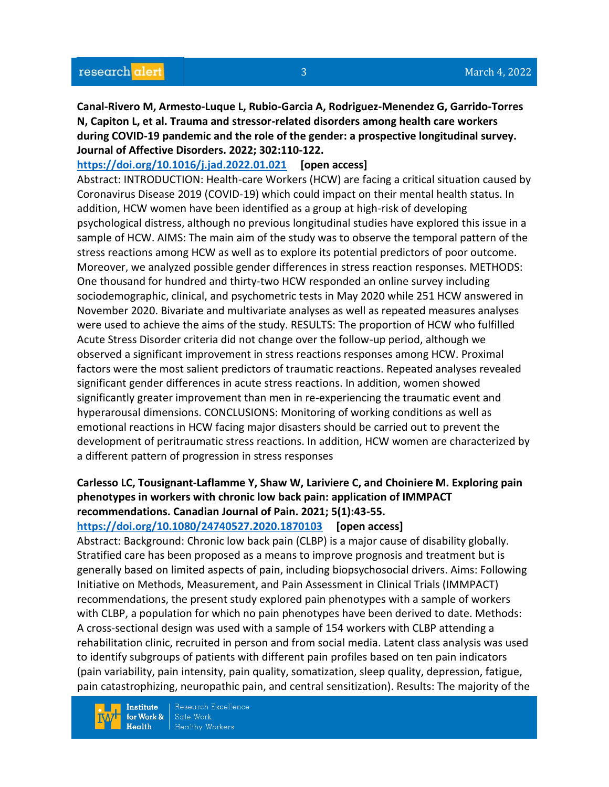**Canal-Rivero M, Armesto-Luque L, Rubio-Garcia A, Rodriguez-Menendez G, Garrido-Torres N, Capiton L, et al. Trauma and stressor-related disorders among health care workers during COVID-19 pandemic and the role of the gender: a prospective longitudinal survey. Journal of Affective Disorders. 2022; 302:110-122.** 

**<https://doi.org/10.1016/j.jad.2022.01.021> [open access]** Abstract: INTRODUCTION: Health-care Workers (HCW) are facing a critical situation caused by

Coronavirus Disease 2019 (COVID-19) which could impact on their mental health status. In addition, HCW women have been identified as a group at high-risk of developing psychological distress, although no previous longitudinal studies have explored this issue in a sample of HCW. AIMS: The main aim of the study was to observe the temporal pattern of the stress reactions among HCW as well as to explore its potential predictors of poor outcome. Moreover, we analyzed possible gender differences in stress reaction responses. METHODS: One thousand for hundred and thirty-two HCW responded an online survey including sociodemographic, clinical, and psychometric tests in May 2020 while 251 HCW answered in November 2020. Bivariate and multivariate analyses as well as repeated measures analyses were used to achieve the aims of the study. RESULTS: The proportion of HCW who fulfilled Acute Stress Disorder criteria did not change over the follow-up period, although we observed a significant improvement in stress reactions responses among HCW. Proximal factors were the most salient predictors of traumatic reactions. Repeated analyses revealed significant gender differences in acute stress reactions. In addition, women showed significantly greater improvement than men in re-experiencing the traumatic event and hyperarousal dimensions. CONCLUSIONS: Monitoring of working conditions as well as emotional reactions in HCW facing major disasters should be carried out to prevent the development of peritraumatic stress reactions. In addition, HCW women are characterized by a different pattern of progression in stress responses

# **Carlesso LC, Tousignant-Laflamme Y, Shaw W, Lariviere C, and Choiniere M. Exploring pain phenotypes in workers with chronic low back pain: application of IMMPACT recommendations. Canadian Journal of Pain. 2021; 5(1):43-55.**

#### **<https://doi.org/10.1080/24740527.2020.1870103> [open access]**

Abstract: Background: Chronic low back pain (CLBP) is a major cause of disability globally. Stratified care has been proposed as a means to improve prognosis and treatment but is generally based on limited aspects of pain, including biopsychosocial drivers. Aims: Following Initiative on Methods, Measurement, and Pain Assessment in Clinical Trials (IMMPACT) recommendations, the present study explored pain phenotypes with a sample of workers with CLBP, a population for which no pain phenotypes have been derived to date. Methods: A cross-sectional design was used with a sample of 154 workers with CLBP attending a rehabilitation clinic, recruited in person and from social media. Latent class analysis was used to identify subgroups of patients with different pain profiles based on ten pain indicators (pain variability, pain intensity, pain quality, somatization, sleep quality, depression, fatigue, pain catastrophizing, neuropathic pain, and central sensitization). Results: The majority of the

**Institute** for Work &  $Health$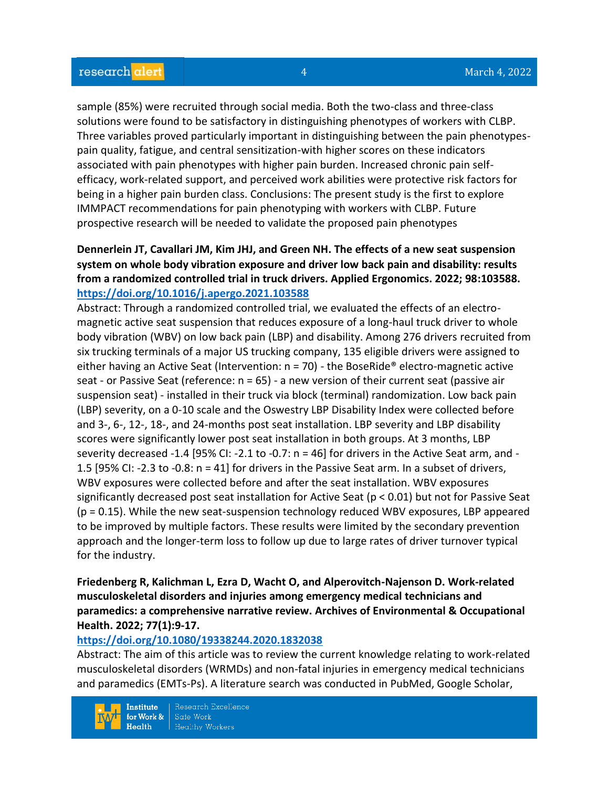sample (85%) were recruited through social media. Both the two-class and three-class solutions were found to be satisfactory in distinguishing phenotypes of workers with CLBP. Three variables proved particularly important in distinguishing between the pain phenotypespain quality, fatigue, and central sensitization-with higher scores on these indicators associated with pain phenotypes with higher pain burden. Increased chronic pain selfefficacy, work-related support, and perceived work abilities were protective risk factors for being in a higher pain burden class. Conclusions: The present study is the first to explore IMMPACT recommendations for pain phenotyping with workers with CLBP. Future prospective research will be needed to validate the proposed pain phenotypes

# **Dennerlein JT, Cavallari JM, Kim JHJ, and Green NH. The effects of a new seat suspension system on whole body vibration exposure and driver low back pain and disability: results from a randomized controlled trial in truck drivers. Applied Ergonomics. 2022; 98:103588. <https://doi.org/10.1016/j.apergo.2021.103588>**

Abstract: Through a randomized controlled trial, we evaluated the effects of an electromagnetic active seat suspension that reduces exposure of a long-haul truck driver to whole body vibration (WBV) on low back pain (LBP) and disability. Among 276 drivers recruited from six trucking terminals of a major US trucking company, 135 eligible drivers were assigned to either having an Active Seat (Intervention:  $n = 70$ ) - the BoseRide<sup>®</sup> electro-magnetic active seat - or Passive Seat (reference: n = 65) - a new version of their current seat (passive air suspension seat) - installed in their truck via block (terminal) randomization. Low back pain (LBP) severity, on a 0-10 scale and the Oswestry LBP Disability Index were collected before and 3-, 6-, 12-, 18-, and 24-months post seat installation. LBP severity and LBP disability scores were significantly lower post seat installation in both groups. At 3 months, LBP severity decreased -1.4 [95% CI: -2.1 to -0.7: n = 46] for drivers in the Active Seat arm, and - 1.5 [95% CI: -2.3 to -0.8: n = 41] for drivers in the Passive Seat arm. In a subset of drivers, WBV exposures were collected before and after the seat installation. WBV exposures significantly decreased post seat installation for Active Seat (p < 0.01) but not for Passive Seat (p = 0.15). While the new seat-suspension technology reduced WBV exposures, LBP appeared to be improved by multiple factors. These results were limited by the secondary prevention approach and the longer-term loss to follow up due to large rates of driver turnover typical for the industry.

### **Friedenberg R, Kalichman L, Ezra D, Wacht O, and Alperovitch-Najenson D. Work-related musculoskeletal disorders and injuries among emergency medical technicians and paramedics: a comprehensive narrative review. Archives of Environmental & Occupational Health. 2022; 77(1):9-17.**

#### **<https://doi.org/10.1080/19338244.2020.1832038>**

Abstract: The aim of this article was to review the current knowledge relating to work-related musculoskeletal disorders (WRMDs) and non-fatal injuries in emergency medical technicians and paramedics (EMTs-Ps). A literature search was conducted in PubMed, Google Scholar,

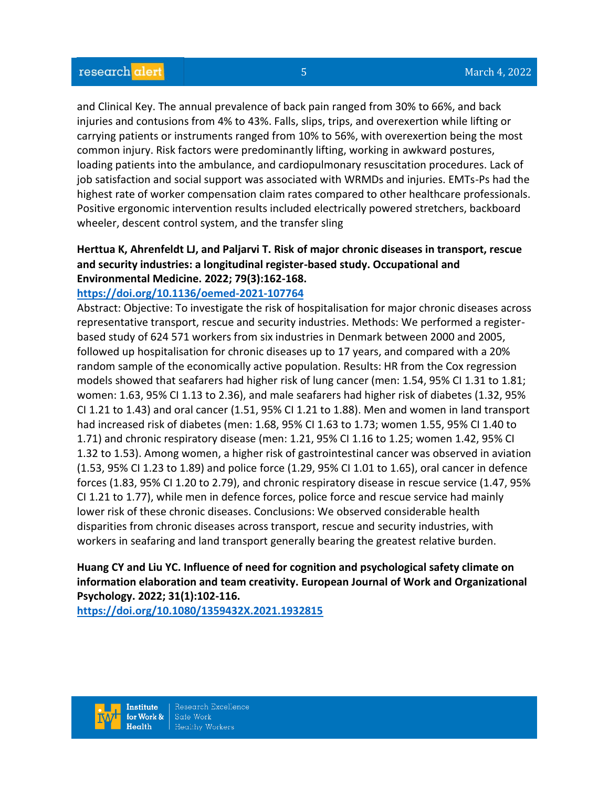and Clinical Key. The annual prevalence of back pain ranged from 30% to 66%, and back injuries and contusions from 4% to 43%. Falls, slips, trips, and overexertion while lifting or carrying patients or instruments ranged from 10% to 56%, with overexertion being the most common injury. Risk factors were predominantly lifting, working in awkward postures, loading patients into the ambulance, and cardiopulmonary resuscitation procedures. Lack of job satisfaction and social support was associated with WRMDs and injuries. EMTs-Ps had the highest rate of worker compensation claim rates compared to other healthcare professionals. Positive ergonomic intervention results included electrically powered stretchers, backboard wheeler, descent control system, and the transfer sling

# **Herttua K, Ahrenfeldt LJ, and Paljarvi T. Risk of major chronic diseases in transport, rescue and security industries: a longitudinal register-based study. Occupational and Environmental Medicine. 2022; 79(3):162-168.**

#### **<https://doi.org/10.1136/oemed-2021-107764>**

Abstract: Objective: To investigate the risk of hospitalisation for major chronic diseases across representative transport, rescue and security industries. Methods: We performed a registerbased study of 624 571 workers from six industries in Denmark between 2000 and 2005, followed up hospitalisation for chronic diseases up to 17 years, and compared with a 20% random sample of the economically active population. Results: HR from the Cox regression models showed that seafarers had higher risk of lung cancer (men: 1.54, 95% CI 1.31 to 1.81; women: 1.63, 95% CI 1.13 to 2.36), and male seafarers had higher risk of diabetes (1.32, 95% CI 1.21 to 1.43) and oral cancer (1.51, 95% CI 1.21 to 1.88). Men and women in land transport had increased risk of diabetes (men: 1.68, 95% CI 1.63 to 1.73; women 1.55, 95% CI 1.40 to 1.71) and chronic respiratory disease (men: 1.21, 95% CI 1.16 to 1.25; women 1.42, 95% CI 1.32 to 1.53). Among women, a higher risk of gastrointestinal cancer was observed in aviation (1.53, 95% CI 1.23 to 1.89) and police force (1.29, 95% CI 1.01 to 1.65), oral cancer in defence forces (1.83, 95% CI 1.20 to 2.79), and chronic respiratory disease in rescue service (1.47, 95% CI 1.21 to 1.77), while men in defence forces, police force and rescue service had mainly lower risk of these chronic diseases. Conclusions: We observed considerable health disparities from chronic diseases across transport, rescue and security industries, with workers in seafaring and land transport generally bearing the greatest relative burden.

# **Huang CY and Liu YC. Influence of need for cognition and psychological safety climate on information elaboration and team creativity. European Journal of Work and Organizational Psychology. 2022; 31(1):102-116.**

**<https://doi.org/10.1080/1359432X.2021.1932815>** 

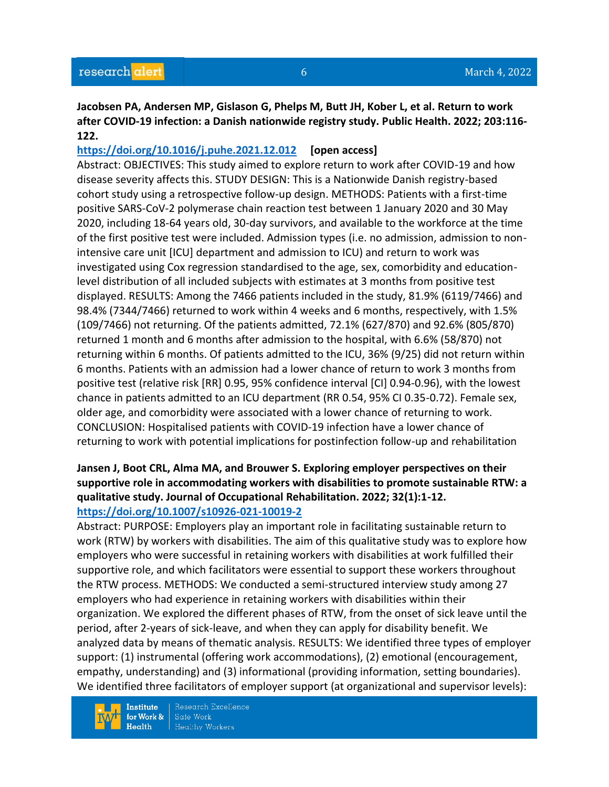#### **Jacobsen PA, Andersen MP, Gislason G, Phelps M, Butt JH, Kober L, et al. Return to work after COVID-19 infection: a Danish nationwide registry study. Public Health. 2022; 203:116- 122.**

### **<https://doi.org/10.1016/j.puhe.2021.12.012> [open access]**

Abstract: OBJECTIVES: This study aimed to explore return to work after COVID-19 and how disease severity affects this. STUDY DESIGN: This is a Nationwide Danish registry-based cohort study using a retrospective follow-up design. METHODS: Patients with a first-time positive SARS-CoV-2 polymerase chain reaction test between 1 January 2020 and 30 May 2020, including 18-64 years old, 30-day survivors, and available to the workforce at the time of the first positive test were included. Admission types (i.e. no admission, admission to nonintensive care unit [ICU] department and admission to ICU) and return to work was investigated using Cox regression standardised to the age, sex, comorbidity and educationlevel distribution of all included subjects with estimates at 3 months from positive test displayed. RESULTS: Among the 7466 patients included in the study, 81.9% (6119/7466) and 98.4% (7344/7466) returned to work within 4 weeks and 6 months, respectively, with 1.5% (109/7466) not returning. Of the patients admitted, 72.1% (627/870) and 92.6% (805/870) returned 1 month and 6 months after admission to the hospital, with 6.6% (58/870) not returning within 6 months. Of patients admitted to the ICU, 36% (9/25) did not return within 6 months. Patients with an admission had a lower chance of return to work 3 months from positive test (relative risk [RR] 0.95, 95% confidence interval [CI] 0.94-0.96), with the lowest chance in patients admitted to an ICU department (RR 0.54, 95% CI 0.35-0.72). Female sex, older age, and comorbidity were associated with a lower chance of returning to work. CONCLUSION: Hospitalised patients with COVID-19 infection have a lower chance of returning to work with potential implications for postinfection follow-up and rehabilitation

# **Jansen J, Boot CRL, Alma MA, and Brouwer S. Exploring employer perspectives on their supportive role in accommodating workers with disabilities to promote sustainable RTW: a qualitative study. Journal of Occupational Rehabilitation. 2022; 32(1):1-12.**

### **<https://doi.org/10.1007/s10926-021-10019-2>**

Abstract: PURPOSE: Employers play an important role in facilitating sustainable return to work (RTW) by workers with disabilities. The aim of this qualitative study was to explore how employers who were successful in retaining workers with disabilities at work fulfilled their supportive role, and which facilitators were essential to support these workers throughout the RTW process. METHODS: We conducted a semi-structured interview study among 27 employers who had experience in retaining workers with disabilities within their organization. We explored the different phases of RTW, from the onset of sick leave until the period, after 2-years of sick-leave, and when they can apply for disability benefit. We analyzed data by means of thematic analysis. RESULTS: We identified three types of employer support: (1) instrumental (offering work accommodations), (2) emotional (encouragement, empathy, understanding) and (3) informational (providing information, setting boundaries). We identified three facilitators of employer support (at organizational and supervisor levels):

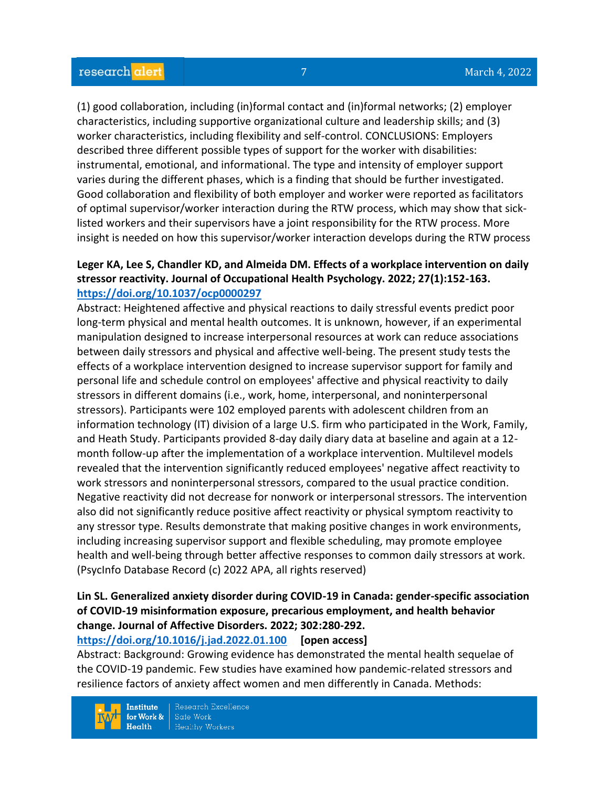(1) good collaboration, including (in)formal contact and (in)formal networks; (2) employer characteristics, including supportive organizational culture and leadership skills; and (3) worker characteristics, including flexibility and self-control. CONCLUSIONS: Employers described three different possible types of support for the worker with disabilities: instrumental, emotional, and informational. The type and intensity of employer support varies during the different phases, which is a finding that should be further investigated. Good collaboration and flexibility of both employer and worker were reported as facilitators of optimal supervisor/worker interaction during the RTW process, which may show that sicklisted workers and their supervisors have a joint responsibility for the RTW process. More insight is needed on how this supervisor/worker interaction develops during the RTW process

#### **Leger KA, Lee S, Chandler KD, and Almeida DM. Effects of a workplace intervention on daily stressor reactivity. Journal of Occupational Health Psychology. 2022; 27(1):152-163. <https://doi.org/10.1037/ocp0000297>**

Abstract: Heightened affective and physical reactions to daily stressful events predict poor long-term physical and mental health outcomes. It is unknown, however, if an experimental manipulation designed to increase interpersonal resources at work can reduce associations between daily stressors and physical and affective well-being. The present study tests the effects of a workplace intervention designed to increase supervisor support for family and personal life and schedule control on employees' affective and physical reactivity to daily stressors in different domains (i.e., work, home, interpersonal, and noninterpersonal stressors). Participants were 102 employed parents with adolescent children from an information technology (IT) division of a large U.S. firm who participated in the Work, Family, and Heath Study. Participants provided 8-day daily diary data at baseline and again at a 12 month follow-up after the implementation of a workplace intervention. Multilevel models revealed that the intervention significantly reduced employees' negative affect reactivity to work stressors and noninterpersonal stressors, compared to the usual practice condition. Negative reactivity did not decrease for nonwork or interpersonal stressors. The intervention also did not significantly reduce positive affect reactivity or physical symptom reactivity to any stressor type. Results demonstrate that making positive changes in work environments, including increasing supervisor support and flexible scheduling, may promote employee health and well-being through better affective responses to common daily stressors at work. (PsycInfo Database Record (c) 2022 APA, all rights reserved)

# **Lin SL. Generalized anxiety disorder during COVID-19 in Canada: gender-specific association of COVID-19 misinformation exposure, precarious employment, and health behavior change. Journal of Affective Disorders. 2022; 302:280-292.**

**<https://doi.org/10.1016/j.jad.2022.01.100> [open access]**

Abstract: Background: Growing evidence has demonstrated the mental health sequelae of the COVID-19 pandemic. Few studies have examined how pandemic-related stressors and resilience factors of anxiety affect women and men differently in Canada. Methods:

**Institute** for Work &  $Health$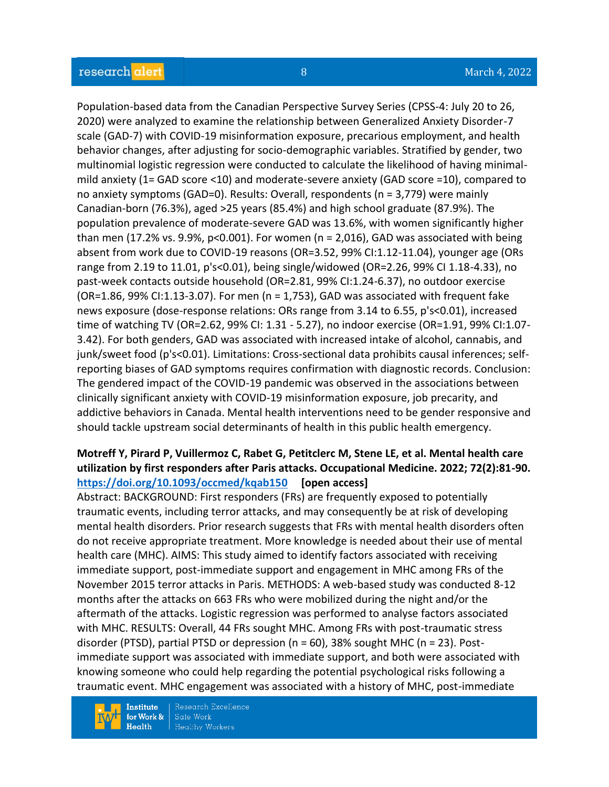Population-based data from the Canadian Perspective Survey Series (CPSS-4: July 20 to 26, 2020) were analyzed to examine the relationship between Generalized Anxiety Disorder-7 scale (GAD-7) with COVID-19 misinformation exposure, precarious employment, and health behavior changes, after adjusting for socio-demographic variables. Stratified by gender, two multinomial logistic regression were conducted to calculate the likelihood of having minimalmild anxiety (1= GAD score <10) and moderate-severe anxiety (GAD score =10), compared to no anxiety symptoms (GAD=0). Results: Overall, respondents (n = 3,779) were mainly Canadian-born (76.3%), aged >25 years (85.4%) and high school graduate (87.9%). The population prevalence of moderate-severe GAD was 13.6%, with women significantly higher than men (17.2% vs. 9.9%,  $p<0.001$ ). For women (n = 2,016), GAD was associated with being absent from work due to COVID-19 reasons (OR=3.52, 99% CI:1.12-11.04), younger age (ORs range from 2.19 to 11.01, p's<0.01), being single/widowed (OR=2.26, 99% CI 1.18-4.33), no past-week contacts outside household (OR=2.81, 99% CI:1.24-6.37), no outdoor exercise  $(OR=1.86, 99\% CI:1.13-3.07)$ . For men  $(n = 1.753)$ , GAD was associated with frequent fake news exposure (dose-response relations: ORs range from 3.14 to 6.55, p's<0.01), increased time of watching TV (OR=2.62, 99% CI: 1.31 - 5.27), no indoor exercise (OR=1.91, 99% CI:1.07- 3.42). For both genders, GAD was associated with increased intake of alcohol, cannabis, and junk/sweet food (p's<0.01). Limitations: Cross-sectional data prohibits causal inferences; selfreporting biases of GAD symptoms requires confirmation with diagnostic records. Conclusion: The gendered impact of the COVID-19 pandemic was observed in the associations between clinically significant anxiety with COVID-19 misinformation exposure, job precarity, and addictive behaviors in Canada. Mental health interventions need to be gender responsive and should tackle upstream social determinants of health in this public health emergency.

### **Motreff Y, Pirard P, Vuillermoz C, Rabet G, Petitclerc M, Stene LE, et al. Mental health care utilization by first responders after Paris attacks. Occupational Medicine. 2022; 72(2):81-90. <https://doi.org/10.1093/occmed/kqab150> [open access]**

Abstract: BACKGROUND: First responders (FRs) are frequently exposed to potentially traumatic events, including terror attacks, and may consequently be at risk of developing mental health disorders. Prior research suggests that FRs with mental health disorders often do not receive appropriate treatment. More knowledge is needed about their use of mental health care (MHC). AIMS: This study aimed to identify factors associated with receiving immediate support, post-immediate support and engagement in MHC among FRs of the November 2015 terror attacks in Paris. METHODS: A web-based study was conducted 8-12 months after the attacks on 663 FRs who were mobilized during the night and/or the aftermath of the attacks. Logistic regression was performed to analyse factors associated with MHC. RESULTS: Overall, 44 FRs sought MHC. Among FRs with post-traumatic stress disorder (PTSD), partial PTSD or depression (n = 60), 38% sought MHC (n = 23). Postimmediate support was associated with immediate support, and both were associated with knowing someone who could help regarding the potential psychological risks following a traumatic event. MHC engagement was associated with a history of MHC, post-immediate

**Institute** for Work &  $Health$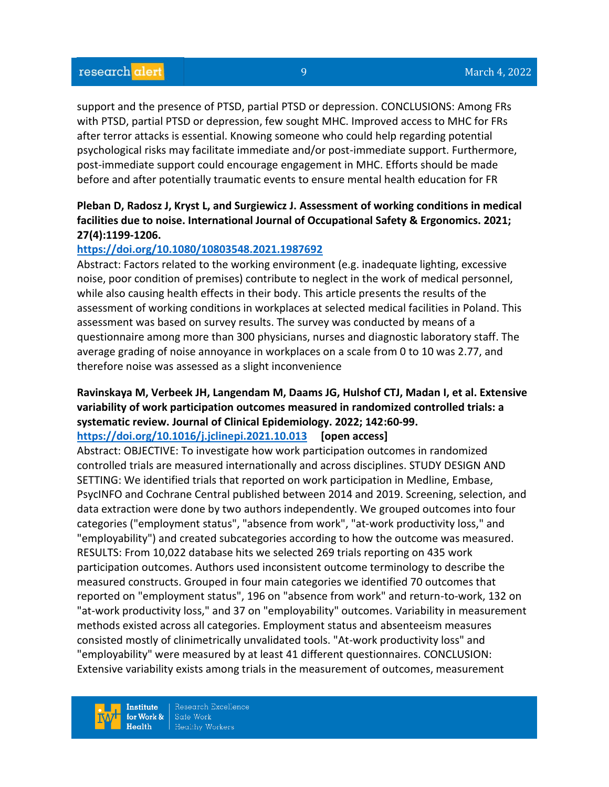support and the presence of PTSD, partial PTSD or depression. CONCLUSIONS: Among FRs with PTSD, partial PTSD or depression, few sought MHC. Improved access to MHC for FRs after terror attacks is essential. Knowing someone who could help regarding potential psychological risks may facilitate immediate and/or post-immediate support. Furthermore, post-immediate support could encourage engagement in MHC. Efforts should be made before and after potentially traumatic events to ensure mental health education for FR

### **Pleban D, Radosz J, Kryst L, and Surgiewicz J. Assessment of working conditions in medical facilities due to noise. International Journal of Occupational Safety & Ergonomics. 2021; 27(4):1199-1206.**

#### **<https://doi.org/10.1080/10803548.2021.1987692>**

Abstract: Factors related to the working environment (e.g. inadequate lighting, excessive noise, poor condition of premises) contribute to neglect in the work of medical personnel, while also causing health effects in their body. This article presents the results of the assessment of working conditions in workplaces at selected medical facilities in Poland. This assessment was based on survey results. The survey was conducted by means of a questionnaire among more than 300 physicians, nurses and diagnostic laboratory staff. The average grading of noise annoyance in workplaces on a scale from 0 to 10 was 2.77, and therefore noise was assessed as a slight inconvenience

# **Ravinskaya M, Verbeek JH, Langendam M, Daams JG, Hulshof CTJ, Madan I, et al. Extensive variability of work participation outcomes measured in randomized controlled trials: a systematic review. Journal of Clinical Epidemiology. 2022; 142:60-99.**

#### **<https://doi.org/10.1016/j.jclinepi.2021.10.013> [open access]**

Abstract: OBJECTIVE: To investigate how work participation outcomes in randomized controlled trials are measured internationally and across disciplines. STUDY DESIGN AND SETTING: We identified trials that reported on work participation in Medline, Embase, PsycINFO and Cochrane Central published between 2014 and 2019. Screening, selection, and data extraction were done by two authors independently. We grouped outcomes into four categories ("employment status", "absence from work", "at-work productivity loss," and "employability") and created subcategories according to how the outcome was measured. RESULTS: From 10,022 database hits we selected 269 trials reporting on 435 work participation outcomes. Authors used inconsistent outcome terminology to describe the measured constructs. Grouped in four main categories we identified 70 outcomes that reported on "employment status", 196 on "absence from work" and return-to-work, 132 on "at-work productivity loss," and 37 on "employability" outcomes. Variability in measurement methods existed across all categories. Employment status and absenteeism measures consisted mostly of clinimetrically unvalidated tools. "At-work productivity loss" and "employability" were measured by at least 41 different questionnaires. CONCLUSION: Extensive variability exists among trials in the measurement of outcomes, measurement

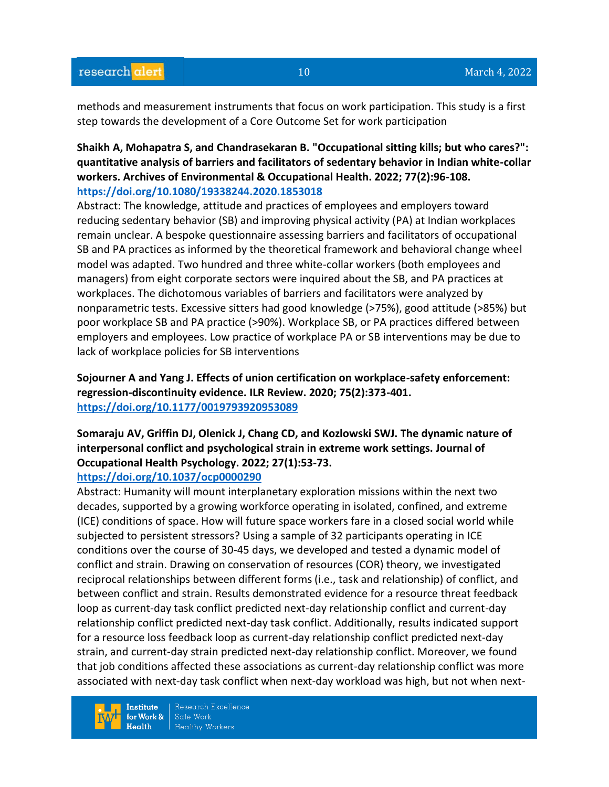methods and measurement instruments that focus on work participation. This study is a first step towards the development of a Core Outcome Set for work participation

### **Shaikh A, Mohapatra S, and Chandrasekaran B. "Occupational sitting kills; but who cares?": quantitative analysis of barriers and facilitators of sedentary behavior in Indian white-collar workers. Archives of Environmental & Occupational Health. 2022; 77(2):96-108. <https://doi.org/10.1080/19338244.2020.1853018>**

Abstract: The knowledge, attitude and practices of employees and employers toward reducing sedentary behavior (SB) and improving physical activity (PA) at Indian workplaces remain unclear. A bespoke questionnaire assessing barriers and facilitators of occupational SB and PA practices as informed by the theoretical framework and behavioral change wheel model was adapted. Two hundred and three white-collar workers (both employees and managers) from eight corporate sectors were inquired about the SB, and PA practices at workplaces. The dichotomous variables of barriers and facilitators were analyzed by nonparametric tests. Excessive sitters had good knowledge (>75%), good attitude (>85%) but poor workplace SB and PA practice (>90%). Workplace SB, or PA practices differed between employers and employees. Low practice of workplace PA or SB interventions may be due to lack of workplace policies for SB interventions

**Sojourner A and Yang J. Effects of union certification on workplace-safety enforcement: regression-discontinuity evidence. ILR Review. 2020; 75(2):373-401. <https://doi.org/10.1177/0019793920953089>** 

# **Somaraju AV, Griffin DJ, Olenick J, Chang CD, and Kozlowski SWJ. The dynamic nature of interpersonal conflict and psychological strain in extreme work settings. Journal of Occupational Health Psychology. 2022; 27(1):53-73.**

#### **<https://doi.org/10.1037/ocp0000290>**

Abstract: Humanity will mount interplanetary exploration missions within the next two decades, supported by a growing workforce operating in isolated, confined, and extreme (ICE) conditions of space. How will future space workers fare in a closed social world while subjected to persistent stressors? Using a sample of 32 participants operating in ICE conditions over the course of 30-45 days, we developed and tested a dynamic model of conflict and strain. Drawing on conservation of resources (COR) theory, we investigated reciprocal relationships between different forms (i.e., task and relationship) of conflict, and between conflict and strain. Results demonstrated evidence for a resource threat feedback loop as current-day task conflict predicted next-day relationship conflict and current-day relationship conflict predicted next-day task conflict. Additionally, results indicated support for a resource loss feedback loop as current-day relationship conflict predicted next-day strain, and current-day strain predicted next-day relationship conflict. Moreover, we found that job conditions affected these associations as current-day relationship conflict was more associated with next-day task conflict when next-day workload was high, but not when next-

**Institute** for Work &  $Heath$